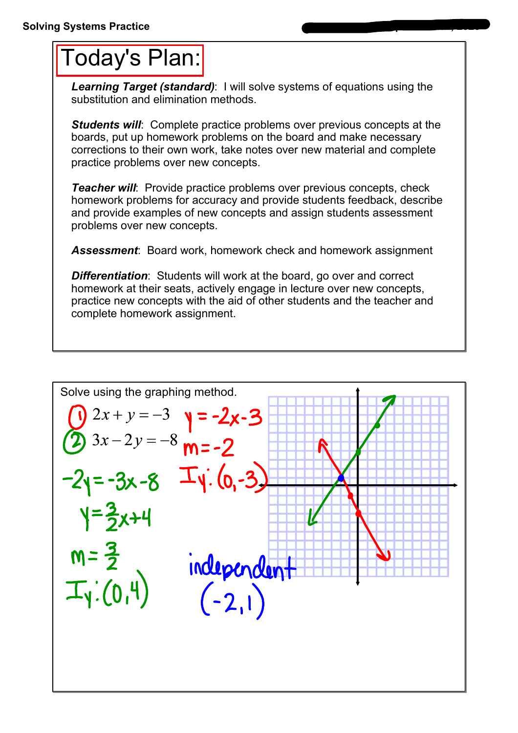## Today's Plan:

*Learning Target (standard)*: I will solve systems of equations using the substitution and elimination methods.

**Students will:** Complete practice problems over previous concepts at the boards, put up homework problems on the board and make necessary corrections to their own work, take notes over new material and complete practice problems over new concepts.

*Teacher will:* Provide practice problems over previous concepts, check homework problems for accuracy and provide students feedback, describe and provide examples of new concepts and assign students assessment problems over new concepts.

*Assessment*: Board work, homework check and homework assignment

**Differentiation:** Students will work at the board, go over and correct homework at their seats, actively engage in lecture over new concepts, practice new concepts with the aid of other students and the teacher and complete homework assignment.

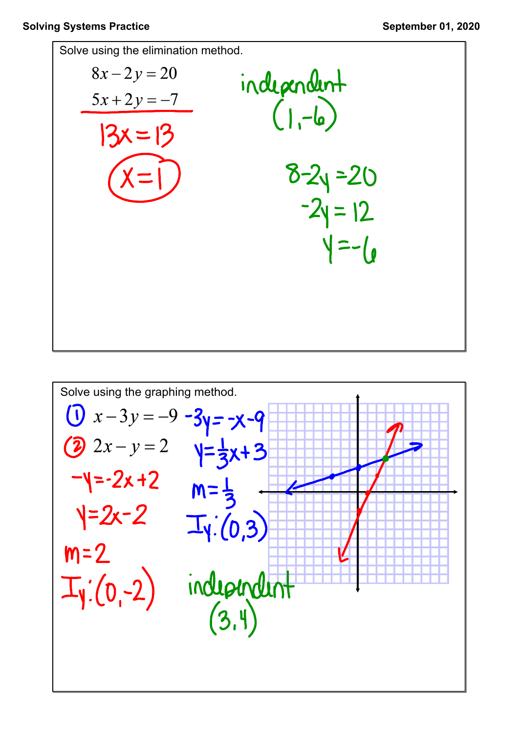

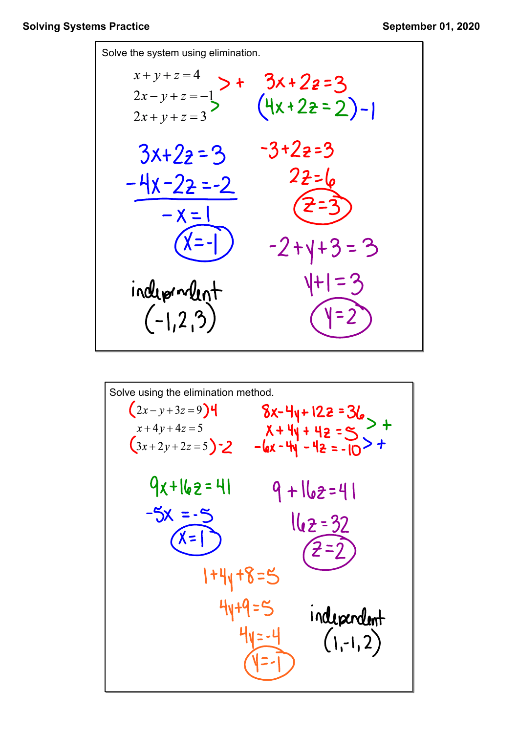

Solve using the elimination method.  
\n
$$
(2x-y+3z=9)4
$$
  
\n $x+4y+4z=5$   
\n $(3x+2y+2z=5)-2$   
\n $-4x-4y-4z=-10>+$   
\n $9x+16z=41$   
\n $-5x = -5$   
\n $x=5$   
\n $x=1$   
\n $1+4y+8=5$   
\n $4y+9=5$   
\n $1+2y-4$   
\n $1+2y-4$   
\n $1+2y-4$   
\n $1+2y-4$   
\n $1+2y-4$   
\n $1+2y-4$   
\n $1+2y-4$   
\n $1+2y-4$   
\n $1+2y-4$   
\n $1+2y-4$   
\n $1+2y-4$   
\n $1+2y-4$   
\n $1+2y-4$   
\n $1+2y-4$   
\n $1+2y-4$   
\n $1+2y-4$   
\n $1+2y-4$   
\n $1+2y-4$   
\n $1+2y-4$   
\n $1+2y-4$   
\n $1+2y-4$   
\n $1+2y-4$   
\n $1+2y-4$   
\n $1+2y-4$   
\n $1+2y-4$   
\n $1+2y-4$   
\n $1+2y-4$   
\n $1+2y-4$   
\n $1+2y-4$   
\n $1+2y-4$   
\n $1+2y-4$   
\n $1+2y-4$   
\n $1+2y-4$   
\n $1+2y-4$   
\n $1+2y-4$   
\n $1+2y-4$   
\n $1+2y-4$   
\n $1+2y-4$   
\n $1+2y-4$   
\n $1+2$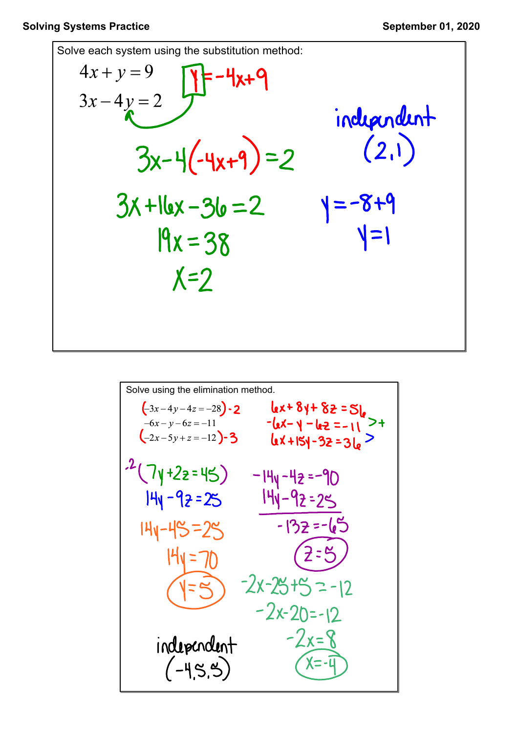Solve each system using the substitution method:  
\n
$$
4x + y = 9
$$
\n
$$
3x - 4y = 2
$$
\n
$$
3x - 4y = 2
$$
\n
$$
3x - 4(-4x + 9) = 2
$$
\n
$$
3x + 16x - 36 = 2
$$
\n
$$
9x = 38
$$
\n
$$
x = 2
$$
\n
$$
x = 2
$$
\n
$$
x = 2
$$
\n
$$
x = 2
$$

Solve using the elimination method.  
\n
$$
(-3x-4y-4z=-28)-2
$$
\n
$$
-(-6x-y-6z=-11
$$
\n
$$
-(-2x-5y+z=-12)-3
$$
\n
$$
-(-2x-5y+z=-12)-3
$$
\n
$$
-(-2x-5y+z=-12)-3
$$
\n
$$
-(-2x-5y+z=-12)-3
$$
\n
$$
-(-2x-5y+z=-12)-3
$$
\n
$$
-(-2x-5y+z=-12)-3
$$
\n
$$
-(-2x-5y-z-5)=-14y-4z=-90
$$
\n
$$
14y-4z=-90
$$
\n
$$
14y-4z=-90
$$
\n
$$
14y-4z=-90
$$
\n
$$
14y-4z=-90
$$
\n
$$
14y-4z=-90
$$
\n
$$
14y-4z=-90
$$
\n
$$
14y-4z=-90
$$
\n
$$
14y-4z=-90
$$
\n
$$
14y-4z=-90
$$
\n
$$
14y-4z=-90
$$
\n
$$
14y-4z=-90
$$
\n
$$
14y-4z=-11>2
$$
\n
$$
14y-4z=-11>2
$$
\n
$$
14y-4z=-11>2
$$
\n
$$
14y-4z=-11>2
$$
\n
$$
14y-4z=-11>2
$$
\n
$$
14y-4z=-11>2
$$
\n
$$
14y-4z=-11>2
$$
\n
$$
14y-4z=-11>2
$$
\n
$$
14y-4z=-11>2
$$
\n
$$
14y-4z=-11>2
$$
\n
$$
14y-4z=-10>2
$$
\n
$$
14y-4z=-10>2
$$
\n
$$
14y-4z=-10>2
$$
\n
$$
14y-4z=-10>2
$$
\n
$$
14y-4z=-10>2
$$
\n
$$
-2x-25=1
$$
\